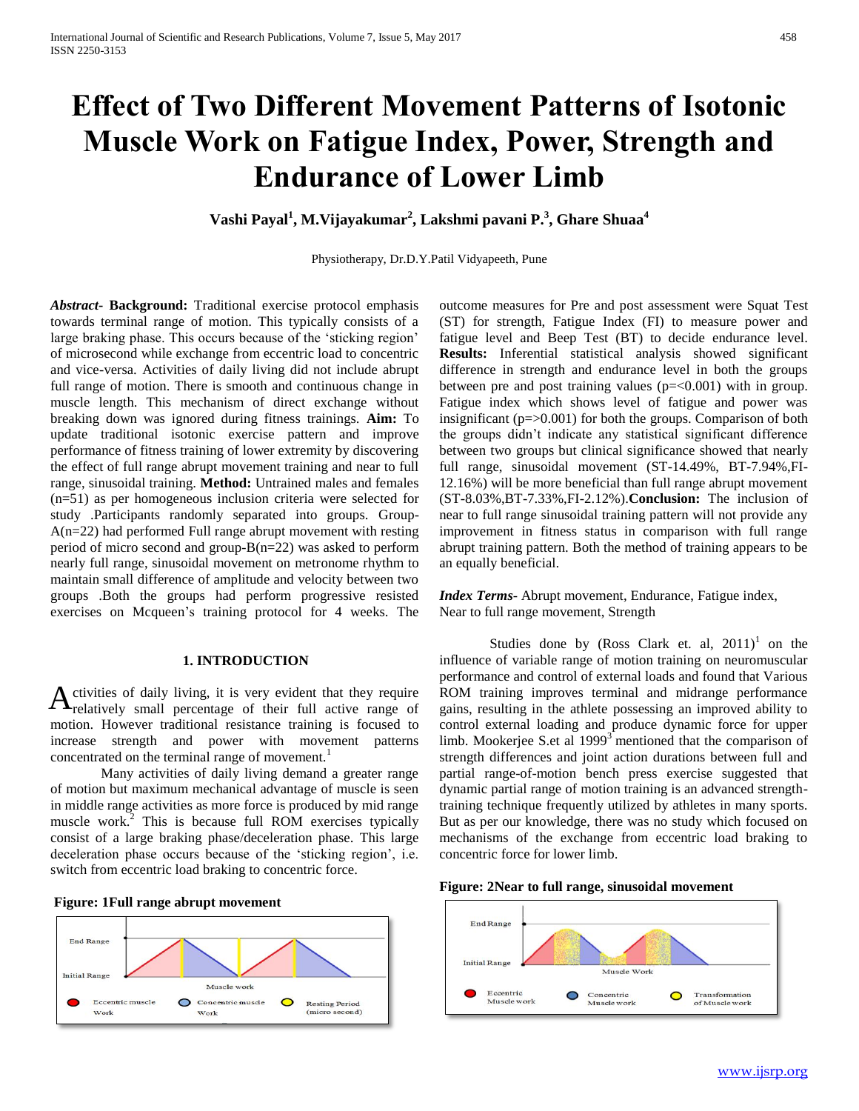# **Effect of Two Different Movement Patterns of Isotonic Muscle Work on Fatigue Index, Power, Strength and Endurance of Lower Limb**

**Vashi Payal<sup>1</sup> , M.Vijayakumar<sup>2</sup> , Lakshmi pavani P.<sup>3</sup> , Ghare Shuaa<sup>4</sup>**

Physiotherapy, Dr.D.Y.Patil Vidyapeeth, Pune

*Abstract***- Background:** Traditional exercise protocol emphasis towards terminal range of motion. This typically consists of a large braking phase. This occurs because of the 'sticking region' of microsecond while exchange from eccentric load to concentric and vice-versa. Activities of daily living did not include abrupt full range of motion. There is smooth and continuous change in muscle length. This mechanism of direct exchange without breaking down was ignored during fitness trainings. **Aim:** To update traditional isotonic exercise pattern and improve performance of fitness training of lower extremity by discovering the effect of full range abrupt movement training and near to full range, sinusoidal training. **Method:** Untrained males and females (n=51) as per homogeneous inclusion criteria were selected for study .Participants randomly separated into groups. Group-A(n=22) had performed Full range abrupt movement with resting period of micro second and group-B(n=22) was asked to perform nearly full range, sinusoidal movement on metronome rhythm to maintain small difference of amplitude and velocity between two groups .Both the groups had perform progressive resisted exercises on Mcqueen's training protocol for 4 weeks. The

### **1. INTRODUCTION**

ctivities of daily living, it is very evident that they require  $A$  ctivities of daily living, it is very evident that they require<br>  $A$  relatively small percentage of their full active range of motion. However traditional resistance training is focused to increase strength and power with movement patterns concentrated on the terminal range of movement.<sup>1</sup>

Many activities of daily living demand a greater range of motion but maximum mechanical advantage of muscle is seen in middle range activities as more force is produced by mid range muscle work.<sup>2</sup> This is because full ROM exercises typically consist of a large braking phase/deceleration phase. This large deceleration phase occurs because of the 'sticking region', i.e. switch from eccentric load braking to concentric force.



outcome measures for Pre and post assessment were Squat Test (ST) for strength, Fatigue Index (FI) to measure power and fatigue level and Beep Test (BT) to decide endurance level. **Results:** Inferential statistical analysis showed significant difference in strength and endurance level in both the groups between pre and post training values (p=<0.001) with in group. Fatigue index which shows level of fatigue and power was insignificant  $(p=0.001)$  for both the groups. Comparison of both the groups didn't indicate any statistical significant difference between two groups but clinical significance showed that nearly full range, sinusoidal movement (ST-14.49%, BT-7.94%,FI-12.16%) will be more beneficial than full range abrupt movement (ST-8.03%,BT-7.33%,FI-2.12%).**Conclusion:** The inclusion of near to full range sinusoidal training pattern will not provide any improvement in fitness status in comparison with full range abrupt training pattern. Both the method of training appears to be an equally beneficial.

*Index Terms*- Abrupt movement, Endurance, Fatigue index, Near to full range movement, Strength

Studies done by (Ross Clark et. al,  $2011$ )<sup>1</sup> on the influence of variable range of motion training on neuromuscular performance and control of external loads and found that Various ROM training improves terminal and midrange performance gains, resulting in the athlete possessing an improved ability to control external loading and produce dynamic force for upper limb. Mookerjee S.et al  $1999<sup>3</sup>$  mentioned that the comparison of strength differences and joint action durations between full and partial range-of-motion bench press exercise suggested that dynamic partial range of motion training is an advanced strengthtraining technique frequently utilized by athletes in many sports. But as per our knowledge, there was no study which focused on mechanisms of the exchange from eccentric load braking to concentric force for lower limb.



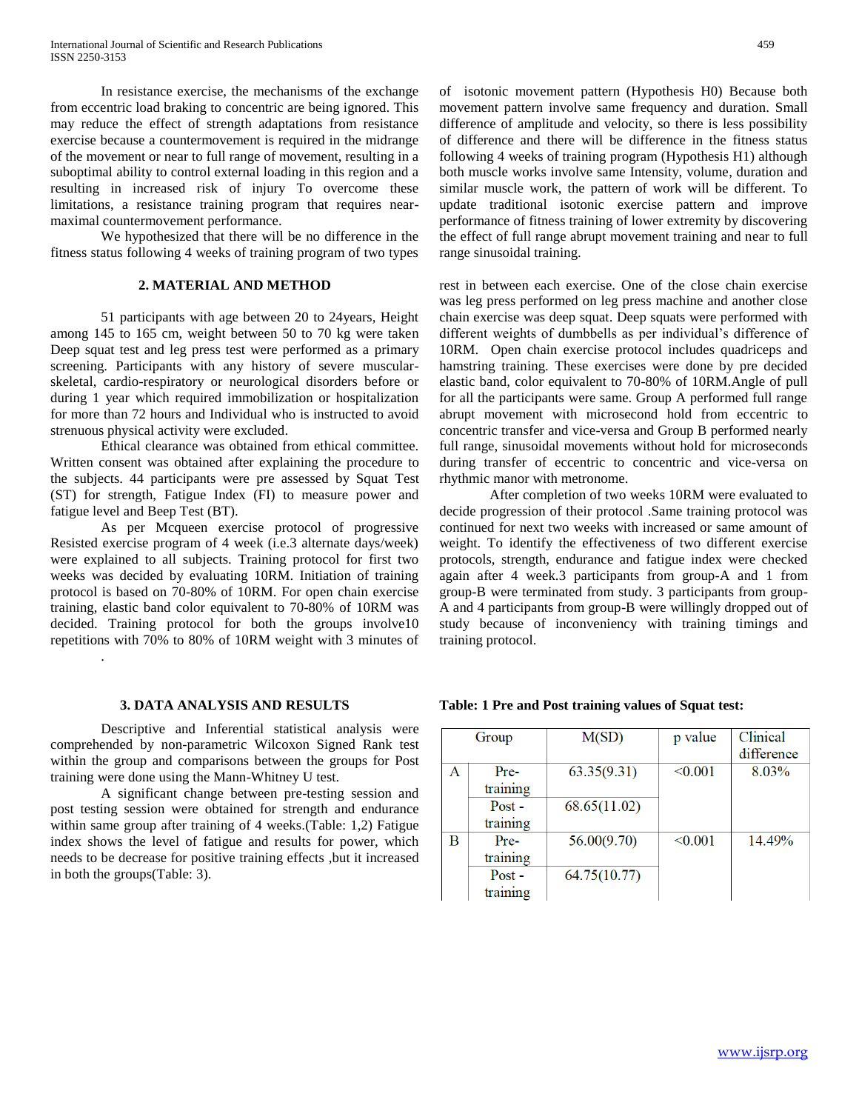In resistance exercise, the mechanisms of the exchange from eccentric load braking to concentric are being ignored. This may reduce the effect of strength adaptations from resistance exercise because a countermovement is required in the midrange of the movement or near to full range of movement, resulting in a suboptimal ability to control external loading in this region and a resulting in increased risk of injury To overcome these limitations, a resistance training program that requires nearmaximal countermovement performance.

We hypothesized that there will be no difference in the fitness status following 4 weeks of training program of two types

## **2. MATERIAL AND METHOD**

51 participants with age between 20 to 24years, Height among 145 to 165 cm, weight between 50 to 70 kg were taken Deep squat test and leg press test were performed as a primary screening. Participants with any history of severe muscularskeletal, cardio-respiratory or neurological disorders before or during 1 year which required immobilization or hospitalization for more than 72 hours and Individual who is instructed to avoid strenuous physical activity were excluded.

Ethical clearance was obtained from ethical committee. Written consent was obtained after explaining the procedure to the subjects. 44 participants were pre assessed by Squat Test (ST) for strength, Fatigue Index (FI) to measure power and fatigue level and Beep Test (BT).

As per Mcqueen exercise protocol of progressive Resisted exercise program of 4 week (i.e.3 alternate days/week) were explained to all subjects. Training protocol for first two weeks was decided by evaluating 10RM. Initiation of training protocol is based on 70-80% of 10RM. For open chain exercise training, elastic band color equivalent to 70-80% of 10RM was decided. Training protocol for both the groups involve10 repetitions with 70% to 80% of 10RM weight with 3 minutes of

#### **3. DATA ANALYSIS AND RESULTS**

.

Descriptive and Inferential statistical analysis were comprehended by non-parametric Wilcoxon Signed Rank test within the group and comparisons between the groups for Post training were done using the Mann-Whitney U test.

A significant change between pre-testing session and post testing session were obtained for strength and endurance within same group after training of 4 weeks.(Table: 1,2) Fatigue index shows the level of fatigue and results for power, which needs to be decrease for positive training effects ,but it increased in both the groups(Table: 3).

of isotonic movement pattern (Hypothesis H0) Because both movement pattern involve same frequency and duration. Small difference of amplitude and velocity, so there is less possibility of difference and there will be difference in the fitness status following 4 weeks of training program (Hypothesis H1) although both muscle works involve same Intensity, volume, duration and similar muscle work, the pattern of work will be different. To update traditional isotonic exercise pattern and improve performance of fitness training of lower extremity by discovering the effect of full range abrupt movement training and near to full range sinusoidal training.

rest in between each exercise. One of the close chain exercise was leg press performed on leg press machine and another close chain exercise was deep squat. Deep squats were performed with different weights of dumbbells as per individual's difference of 10RM. Open chain exercise protocol includes quadriceps and hamstring training. These exercises were done by pre decided elastic band, color equivalent to 70-80% of 10RM.Angle of pull for all the participants were same. Group A performed full range abrupt movement with microsecond hold from eccentric to concentric transfer and vice-versa and Group B performed nearly full range, sinusoidal movements without hold for microseconds during transfer of eccentric to concentric and vice-versa on rhythmic manor with metronome.

After completion of two weeks 10RM were evaluated to decide progression of their protocol .Same training protocol was continued for next two weeks with increased or same amount of weight. To identify the effectiveness of two different exercise protocols, strength, endurance and fatigue index were checked again after 4 week.3 participants from group-A and 1 from group-B were terminated from study. 3 participants from group-A and 4 participants from group-B were willingly dropped out of study because of inconveniency with training timings and training protocol.

| Group |          | M(SD)        | p value | Clinical   |
|-------|----------|--------------|---------|------------|
|       |          |              |         | difference |
| Α     | Pre-     | 63.35(9.31)  | < 0.001 | 8.03%      |
|       | training |              |         |            |
|       | $Post -$ | 68.65(11.02) |         |            |
|       | training |              |         |            |
| В     | $Pre-$   | 56.00(9.70)  | < 0.001 | 14.49%     |
|       | training |              |         |            |
|       | $Post -$ | 64.75(10.77) |         |            |
|       | training |              |         |            |

#### **Table: 1 Pre and Post training values of Squat test:**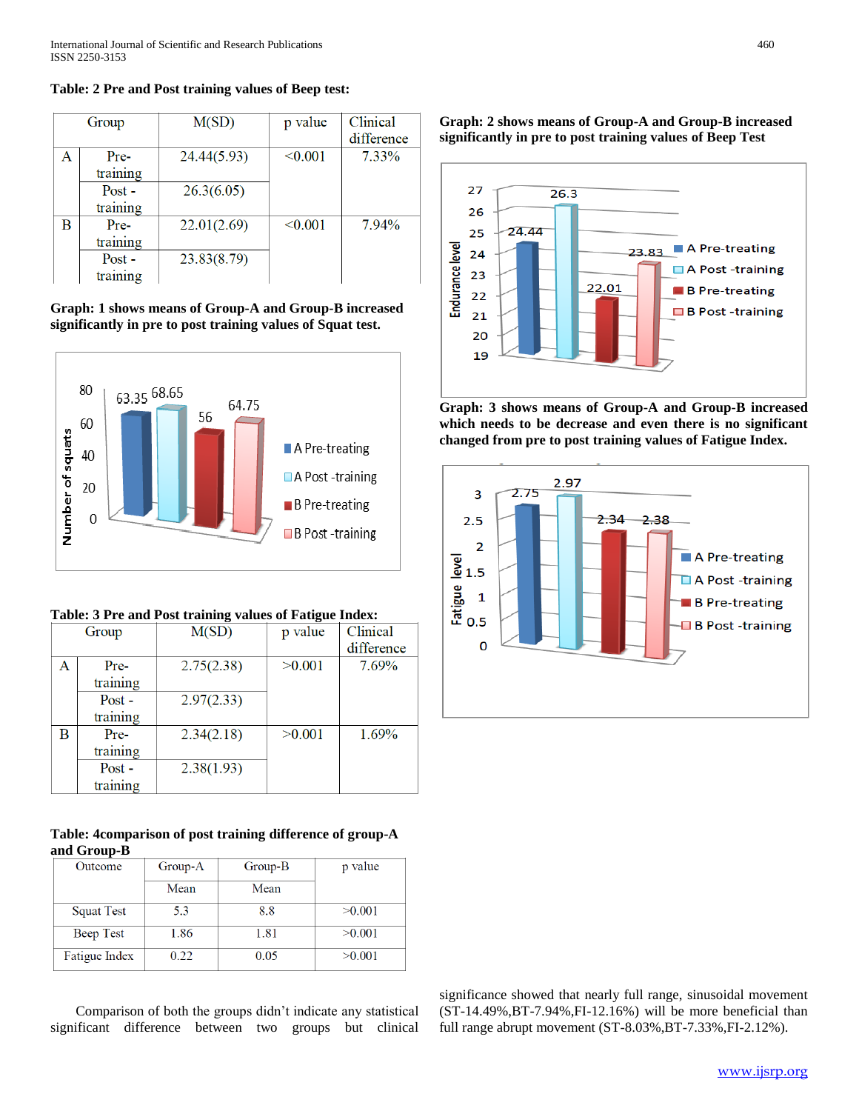|   | Group                | M(SD)       | p value | Clinical<br>difference |
|---|----------------------|-------------|---------|------------------------|
| Α | $Pre-$<br>training   | 24.44(5.93) | < 0.001 | 7.33%                  |
|   | $Post -$<br>training | 26.3(6.05)  |         |                        |
| B | Pre-<br>training     | 22.01(2.69) | < 0.001 | 7.94%                  |
|   | $Post -$<br>training | 23.83(8.79) |         |                        |

**Table: 2 Pre and Post training values of Beep test:**

**Graph: 1 shows means of Group-A and Group-B increased significantly in pre to post training values of Squat test.**



| Table: 3 Pre and Post training values of Fatigue Index: |  |  |  |  |  |  |
|---------------------------------------------------------|--|--|--|--|--|--|
|---------------------------------------------------------|--|--|--|--|--|--|

| Group |          | M(SD)      | p value | Clinical   |
|-------|----------|------------|---------|------------|
|       |          |            |         | difference |
| Α     | Pre-     | 2.75(2.38) | >0.001  | 7.69%      |
|       | training |            |         |            |
|       | $Post -$ | 2.97(2.33) |         |            |
|       | training |            |         |            |
| B     | Pre-     | 2.34(2.18) | >0.001  | 1.69%      |
|       | training |            |         |            |
|       | $Post -$ | 2.38(1.93) |         |            |
|       | training |            |         |            |

# **Table: 4comparison of post training difference of group-A and Group-B**

| Outcome       | Group-A | $Group-B$ | p value |
|---------------|---------|-----------|---------|
|               | Mean    | Mean      |         |
| Squat Test    | 5.3     | 8.8       | >0.001  |
| Beep Test     | 1.86    | 1.81      | >0.001  |
| Fatigue Index | 0.22    | 0.05      | >0.001  |

Comparison of both the groups didn't indicate any statistical significant difference between two groups but clinical **Graph: 2 shows means of Group-A and Group-B increased significantly in pre to post training values of Beep Test**



**Graph: 3 shows means of Group-A and Group-B increased which needs to be decrease and even there is no significant changed from pre to post training values of Fatigue Index.**



significance showed that nearly full range, sinusoidal movement (ST-14.49%,BT-7.94%,FI-12.16%) will be more beneficial than full range abrupt movement (ST-8.03%,BT-7.33%,FI-2.12%).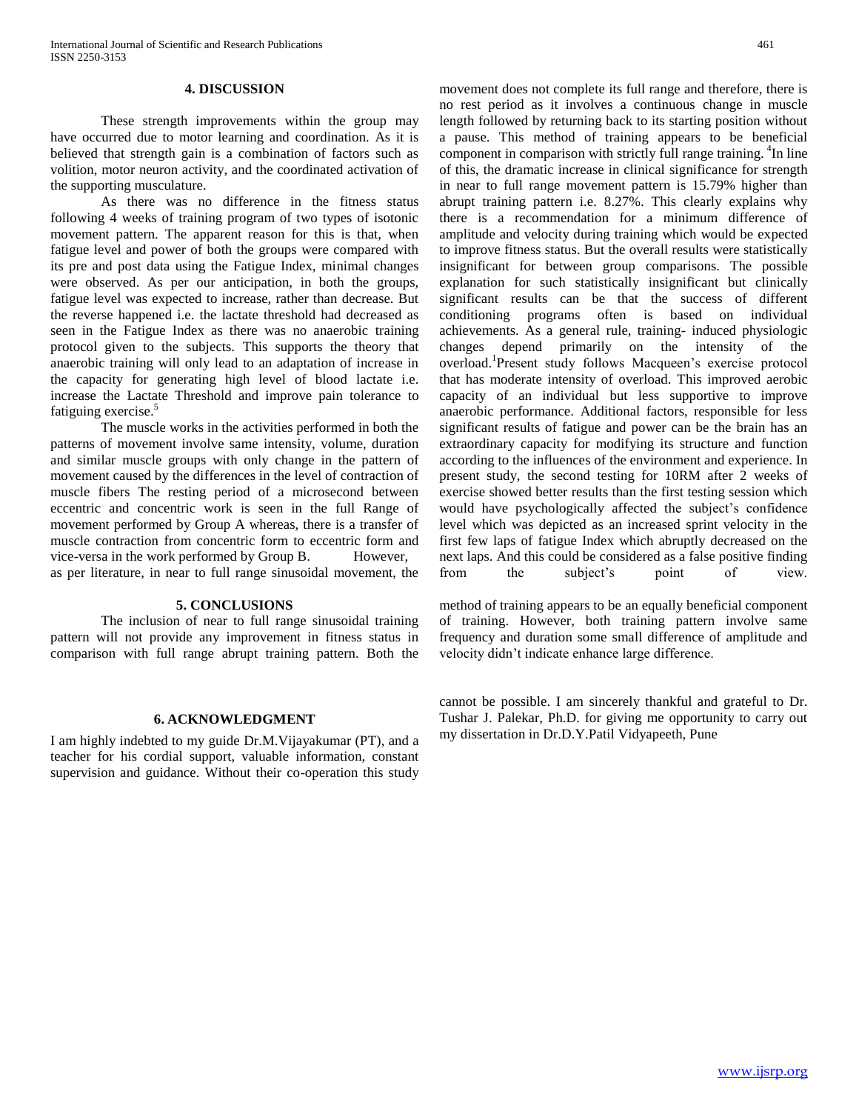#### **4. DISCUSSION**

These strength improvements within the group may have occurred due to motor learning and coordination. As it is believed that strength gain is a combination of factors such as volition, motor neuron activity, and the coordinated activation of the supporting musculature.

As there was no difference in the fitness status following 4 weeks of training program of two types of isotonic movement pattern. The apparent reason for this is that, when fatigue level and power of both the groups were compared with its pre and post data using the Fatigue Index, minimal changes were observed. As per our anticipation, in both the groups, fatigue level was expected to increase, rather than decrease. But the reverse happened i.e. the lactate threshold had decreased as seen in the Fatigue Index as there was no anaerobic training protocol given to the subjects. This supports the theory that anaerobic training will only lead to an adaptation of increase in the capacity for generating high level of blood lactate i.e. increase the Lactate Threshold and improve pain tolerance to fatiguing exercise.<sup>5</sup>

The muscle works in the activities performed in both the patterns of movement involve same intensity, volume, duration and similar muscle groups with only change in the pattern of movement caused by the differences in the level of contraction of muscle fibers The resting period of a microsecond between eccentric and concentric work is seen in the full Range of movement performed by Group A whereas, there is a transfer of muscle contraction from concentric form to eccentric form and vice-versa in the work performed by Group B. However, as per literature, in near to full range sinusoidal movement, the

#### **5. CONCLUSIONS**

The inclusion of near to full range sinusoidal training pattern will not provide any improvement in fitness status in comparison with full range abrupt training pattern. Both the

## **6. ACKNOWLEDGMENT**

I am highly indebted to my guide Dr.M.Vijayakumar (PT), and a teacher for his cordial support, valuable information, constant supervision and guidance. Without their co-operation this study movement does not complete its full range and therefore, there is no rest period as it involves a continuous change in muscle length followed by returning back to its starting position without a pause. This method of training appears to be beneficial component in comparison with strictly full range training. <sup>4</sup>In line of this, the dramatic increase in clinical significance for strength in near to full range movement pattern is 15.79% higher than abrupt training pattern i.e. 8.27%. This clearly explains why there is a recommendation for a minimum difference of amplitude and velocity during training which would be expected to improve fitness status. But the overall results were statistically insignificant for between group comparisons. The possible explanation for such statistically insignificant but clinically significant results can be that the success of different conditioning programs often is based on individual achievements. As a general rule, training- induced physiologic changes depend primarily on the intensity of the overload.<sup>1</sup> Present study follows Macqueen's exercise protocol that has moderate intensity of overload. This improved aerobic capacity of an individual but less supportive to improve anaerobic performance. Additional factors, responsible for less significant results of fatigue and power can be the brain has an extraordinary capacity for modifying its structure and function according to the influences of the environment and experience. In present study, the second testing for 10RM after 2 weeks of exercise showed better results than the first testing session which would have psychologically affected the subject's confidence level which was depicted as an increased sprint velocity in the first few laps of fatigue Index which abruptly decreased on the next laps. And this could be considered as a false positive finding from the subject's point of view.

method of training appears to be an equally beneficial component of training. However, both training pattern involve same frequency and duration some small difference of amplitude and velocity didn't indicate enhance large difference.

cannot be possible. I am sincerely thankful and grateful to Dr. Tushar J. Palekar, Ph.D. for giving me opportunity to carry out my dissertation in Dr.D.Y.Patil Vidyapeeth, Pune